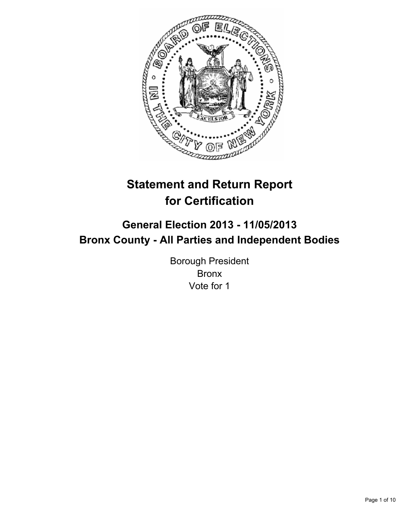

# **Statement and Return Report for Certification**

## **General Election 2013 - 11/05/2013 Bronx County - All Parties and Independent Bodies**

Borough President Bronx Vote for 1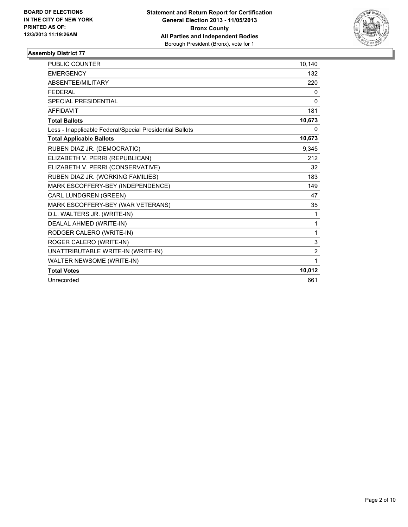

| <b>PUBLIC COUNTER</b>                                    | 10,140         |
|----------------------------------------------------------|----------------|
| <b>EMERGENCY</b>                                         | 132            |
| ABSENTEE/MILITARY                                        | 220            |
| <b>FEDERAL</b>                                           | 0              |
| SPECIAL PRESIDENTIAL                                     | $\Omega$       |
| <b>AFFIDAVIT</b>                                         | 181            |
| <b>Total Ballots</b>                                     | 10,673         |
| Less - Inapplicable Federal/Special Presidential Ballots | 0              |
| <b>Total Applicable Ballots</b>                          | 10,673         |
| RUBEN DIAZ JR. (DEMOCRATIC)                              | 9,345          |
| ELIZABETH V. PERRI (REPUBLICAN)                          | 212            |
| ELIZABETH V. PERRI (CONSERVATIVE)                        | 32             |
| RUBEN DIAZ JR. (WORKING FAMILIES)                        | 183            |
| MARK ESCOFFERY-BEY (INDEPENDENCE)                        | 149            |
| CARL LUNDGREN (GREEN)                                    | 47             |
| MARK ESCOFFERY-BEY (WAR VETERANS)                        | 35             |
| D.L. WALTERS JR. (WRITE-IN)                              | 1              |
| DEALAL AHMED (WRITE-IN)                                  | 1              |
| RODGER CALERO (WRITE-IN)                                 | 1              |
| ROGER CALERO (WRITE-IN)                                  | 3              |
| UNATTRIBUTABLE WRITE-IN (WRITE-IN)                       | $\overline{2}$ |
| WALTER NEWSOME (WRITE-IN)                                | 1              |
| <b>Total Votes</b>                                       | 10,012         |
| Unrecorded                                               | 661            |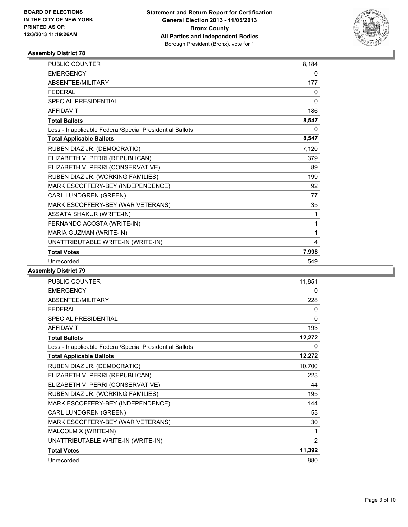

| PUBLIC COUNTER                                           | 8,184    |
|----------------------------------------------------------|----------|
| <b>EMERGENCY</b>                                         | 0        |
| <b>ABSENTEE/MILITARY</b>                                 | 177      |
| <b>FEDERAL</b>                                           | 0        |
| SPECIAL PRESIDENTIAL                                     | $\Omega$ |
| <b>AFFIDAVIT</b>                                         | 186      |
| <b>Total Ballots</b>                                     | 8,547    |
| Less - Inapplicable Federal/Special Presidential Ballots | 0        |
| <b>Total Applicable Ballots</b>                          | 8,547    |
| RUBEN DIAZ JR. (DEMOCRATIC)                              | 7,120    |
| ELIZABETH V. PERRI (REPUBLICAN)                          | 379      |
| ELIZABETH V. PERRI (CONSERVATIVE)                        | 89       |
| RUBEN DIAZ JR. (WORKING FAMILIES)                        | 199      |
| MARK ESCOFFERY-BEY (INDEPENDENCE)                        | 92       |
| CARL LUNDGREN (GREEN)                                    | 77       |
| MARK ESCOFFERY-BEY (WAR VETERANS)                        | 35       |
| <b>ASSATA SHAKUR (WRITE-IN)</b>                          | 1        |
| FERNANDO ACOSTA (WRITE-IN)                               | 1        |
| MARIA GUZMAN (WRITE-IN)                                  | 1        |
| UNATTRIBUTABLE WRITE-IN (WRITE-IN)                       | 4        |
| <b>Total Votes</b>                                       | 7,998    |
| Unrecorded                                               | 549      |

| <b>PUBLIC COUNTER</b>                                    | 11,851 |
|----------------------------------------------------------|--------|
| <b>EMERGENCY</b>                                         | 0      |
| ABSENTEE/MILITARY                                        | 228    |
| <b>FFDFRAL</b>                                           | 0      |
| <b>SPECIAL PRESIDENTIAL</b>                              | 0      |
| <b>AFFIDAVIT</b>                                         | 193    |
| <b>Total Ballots</b>                                     | 12,272 |
| Less - Inapplicable Federal/Special Presidential Ballots | 0      |
| <b>Total Applicable Ballots</b>                          | 12,272 |
| RUBEN DIAZ JR. (DEMOCRATIC)                              | 10,700 |
| ELIZABETH V. PERRI (REPUBLICAN)                          | 223    |
| ELIZABETH V. PERRI (CONSERVATIVE)                        | 44     |
| RUBEN DIAZ JR. (WORKING FAMILIES)                        | 195    |
| MARK ESCOFFERY-BEY (INDEPENDENCE)                        | 144    |
| <b>CARL LUNDGREN (GREEN)</b>                             | 53     |
| MARK ESCOFFERY-BEY (WAR VETERANS)                        | 30     |
| MALCOLM X (WRITE-IN)                                     | 1      |
| UNATTRIBUTABLE WRITE-IN (WRITE-IN)                       | 2      |
| <b>Total Votes</b>                                       | 11,392 |
| Unrecorded                                               | 880    |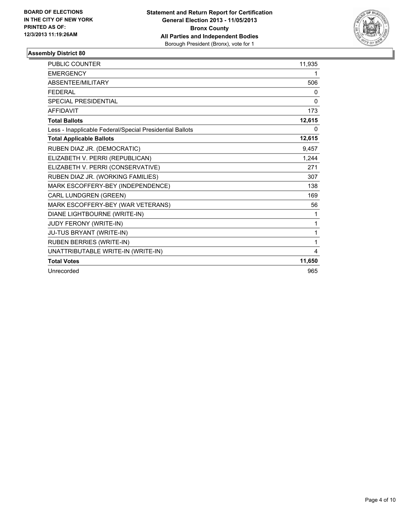

| <b>PUBLIC COUNTER</b>                                    | 11,935 |
|----------------------------------------------------------|--------|
| <b>EMERGENCY</b>                                         | 1      |
| ABSENTEE/MILITARY                                        | 506    |
| <b>FFDFRAI</b>                                           | 0      |
| <b>SPECIAL PRESIDENTIAL</b>                              | 0      |
| <b>AFFIDAVIT</b>                                         | 173    |
| <b>Total Ballots</b>                                     | 12,615 |
| Less - Inapplicable Federal/Special Presidential Ballots | 0      |
| <b>Total Applicable Ballots</b>                          | 12,615 |
| RUBEN DIAZ JR. (DEMOCRATIC)                              | 9,457  |
| ELIZABETH V. PERRI (REPUBLICAN)                          | 1,244  |
| ELIZABETH V. PERRI (CONSERVATIVE)                        | 271    |
| RUBEN DIAZ JR. (WORKING FAMILIES)                        | 307    |
| MARK ESCOFFERY-BEY (INDEPENDENCE)                        | 138    |
| CARL LUNDGREN (GREEN)                                    | 169    |
| MARK ESCOFFERY-BEY (WAR VETERANS)                        | 56     |
| DIANE LIGHTBOURNE (WRITE-IN)                             | 1      |
| JUDY FERONY (WRITE-IN)                                   | 1      |
| JU-TUS BRYANT (WRITE-IN)                                 | 1      |
| <b>RUBEN BERRIES (WRITE-IN)</b>                          | 1      |
| UNATTRIBUTABLE WRITE-IN (WRITE-IN)                       | 4      |
| <b>Total Votes</b>                                       | 11,650 |
| Unrecorded                                               | 965    |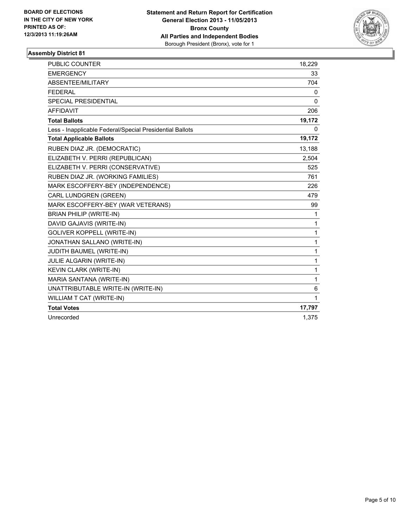

| <b>PUBLIC COUNTER</b>                                    | 18,229       |
|----------------------------------------------------------|--------------|
| <b>EMERGENCY</b>                                         | 33           |
| ABSENTEE/MILITARY                                        | 704          |
| <b>FEDERAL</b>                                           | 0            |
| <b>SPECIAL PRESIDENTIAL</b>                              | $\mathbf{0}$ |
| <b>AFFIDAVIT</b>                                         | 206          |
| <b>Total Ballots</b>                                     | 19,172       |
| Less - Inapplicable Federal/Special Presidential Ballots | 0            |
| <b>Total Applicable Ballots</b>                          | 19,172       |
| RUBEN DIAZ JR. (DEMOCRATIC)                              | 13,188       |
| ELIZABETH V. PERRI (REPUBLICAN)                          | 2,504        |
| ELIZABETH V. PERRI (CONSERVATIVE)                        | 525          |
| RUBEN DIAZ JR. (WORKING FAMILIES)                        | 761          |
| MARK ESCOFFERY-BEY (INDEPENDENCE)                        | 226          |
| CARL LUNDGREN (GREEN)                                    | 479          |
| MARK ESCOFFERY-BEY (WAR VETERANS)                        | 99           |
| <b>BRIAN PHILIP (WRITE-IN)</b>                           | 1            |
| DAVID GAJAVIS (WRITE-IN)                                 | 1            |
| <b>GOLIVER KOPPELL (WRITE-IN)</b>                        | 1            |
| JONATHAN SALLANO (WRITE-IN)                              | 1            |
| JUDITH BAUMEL (WRITE-IN)                                 | 1            |
| JULIE ALGARIN (WRITE-IN)                                 | 1            |
| KEVIN CLARK (WRITE-IN)                                   | 1            |
| MARIA SANTANA (WRITE-IN)                                 | 1            |
| UNATTRIBUTABLE WRITE-IN (WRITE-IN)                       | 6            |
| WILLIAM T CAT (WRITE-IN)                                 | 1            |
| <b>Total Votes</b>                                       | 17,797       |
| Unrecorded                                               | 1,375        |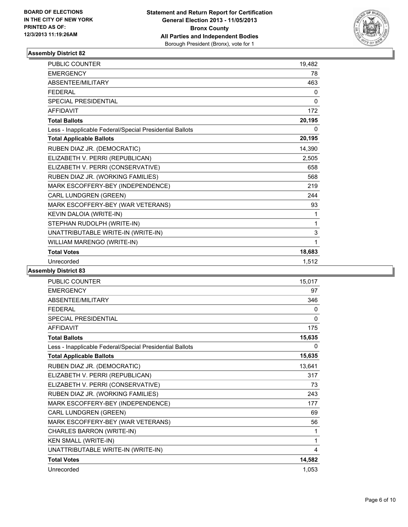

| <b>PUBLIC COUNTER</b>                                    | 19,482       |
|----------------------------------------------------------|--------------|
| <b>EMERGENCY</b>                                         | 78           |
| <b>ABSENTEE/MILITARY</b>                                 | 463          |
| <b>FEDERAL</b>                                           | 0            |
| <b>SPECIAL PRESIDENTIAL</b>                              | $\mathbf{0}$ |
| <b>AFFIDAVIT</b>                                         | 172          |
| <b>Total Ballots</b>                                     | 20,195       |
| Less - Inapplicable Federal/Special Presidential Ballots | 0            |
| <b>Total Applicable Ballots</b>                          | 20,195       |
| RUBEN DIAZ JR. (DEMOCRATIC)                              | 14,390       |
| ELIZABETH V. PERRI (REPUBLICAN)                          | 2,505        |
| ELIZABETH V. PERRI (CONSERVATIVE)                        | 658          |
| RUBEN DIAZ JR. (WORKING FAMILIES)                        | 568          |
| MARK ESCOFFERY-BEY (INDEPENDENCE)                        | 219          |
| CARL LUNDGREN (GREEN)                                    | 244          |
| MARK ESCOFFERY-BEY (WAR VETERANS)                        | 93           |
| KEVIN DALOIA (WRITE-IN)                                  | 1            |
| STEPHAN RUDOLPH (WRITE-IN)                               | 1            |
| UNATTRIBUTABLE WRITE-IN (WRITE-IN)                       | 3            |
| WILLIAM MARENGO (WRITE-IN)                               | 1            |
| <b>Total Votes</b>                                       | 18,683       |
| Unrecorded                                               | 1.512        |

| <b>PUBLIC COUNTER</b>                                    | 15,017 |
|----------------------------------------------------------|--------|
| <b>EMERGENCY</b>                                         | 97     |
| ABSENTEE/MILITARY                                        | 346    |
| <b>FEDERAL</b>                                           | 0      |
| <b>SPECIAL PRESIDENTIAL</b>                              | 0      |
| <b>AFFIDAVIT</b>                                         | 175    |
| <b>Total Ballots</b>                                     | 15,635 |
| Less - Inapplicable Federal/Special Presidential Ballots | 0      |
| <b>Total Applicable Ballots</b>                          | 15,635 |
| RUBEN DIAZ JR. (DEMOCRATIC)                              | 13,641 |
| ELIZABETH V. PERRI (REPUBLICAN)                          | 317    |
| ELIZABETH V. PERRI (CONSERVATIVE)                        | 73     |
| RUBEN DIAZ JR. (WORKING FAMILIES)                        | 243    |
| MARK ESCOFFERY-BEY (INDEPENDENCE)                        | 177    |
| CARL LUNDGREN (GREEN)                                    | 69     |
| MARK ESCOFFERY-BEY (WAR VETERANS)                        | 56     |
| CHARLES BARRON (WRITE-IN)                                | 1      |
| <b>KEN SMALL (WRITE-IN)</b>                              | 1      |
| UNATTRIBUTABLE WRITE-IN (WRITE-IN)                       | 4      |
| <b>Total Votes</b>                                       | 14,582 |
| Unrecorded                                               | 1,053  |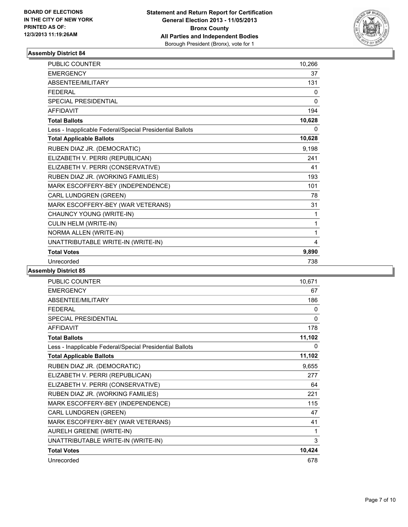

| <b>PUBLIC COUNTER</b>                                    | 10,266       |
|----------------------------------------------------------|--------------|
| <b>EMERGENCY</b>                                         | 37           |
| <b>ABSENTEE/MILITARY</b>                                 | 131          |
| <b>FEDERAL</b>                                           | 0            |
| <b>SPECIAL PRESIDENTIAL</b>                              | $\mathbf{0}$ |
| <b>AFFIDAVIT</b>                                         | 194          |
| <b>Total Ballots</b>                                     | 10,628       |
| Less - Inapplicable Federal/Special Presidential Ballots | 0            |
| <b>Total Applicable Ballots</b>                          | 10,628       |
| RUBEN DIAZ JR. (DEMOCRATIC)                              | 9,198        |
| ELIZABETH V. PERRI (REPUBLICAN)                          | 241          |
| ELIZABETH V. PERRI (CONSERVATIVE)                        | 41           |
| RUBEN DIAZ JR. (WORKING FAMILIES)                        | 193          |
| MARK ESCOFFERY-BEY (INDEPENDENCE)                        | 101          |
| CARL LUNDGREN (GREEN)                                    | 78           |
| MARK ESCOFFERY-BEY (WAR VETERANS)                        | 31           |
| CHAUNCY YOUNG (WRITE-IN)                                 | 1            |
| CULIN HELM (WRITE-IN)                                    | 1            |
| NORMA ALLEN (WRITE-IN)                                   | 1            |
| UNATTRIBUTABLE WRITE-IN (WRITE-IN)                       | 4            |
| <b>Total Votes</b>                                       | 9.890        |
| Unrecorded                                               | 738          |

| <b>PUBLIC COUNTER</b>                                    | 10,671 |
|----------------------------------------------------------|--------|
| <b>EMERGENCY</b>                                         | 67     |
| ABSENTEE/MILITARY                                        | 186    |
| <b>FFDFRAL</b>                                           | 0      |
| <b>SPECIAL PRESIDENTIAL</b>                              | 0      |
| <b>AFFIDAVIT</b>                                         | 178    |
| <b>Total Ballots</b>                                     | 11,102 |
| Less - Inapplicable Federal/Special Presidential Ballots | 0      |
| <b>Total Applicable Ballots</b>                          | 11,102 |
| RUBEN DIAZ JR. (DEMOCRATIC)                              | 9,655  |
| ELIZABETH V. PERRI (REPUBLICAN)                          | 277    |
| ELIZABETH V. PERRI (CONSERVATIVE)                        | 64     |
| RUBEN DIAZ JR. (WORKING FAMILIES)                        | 221    |
| MARK ESCOFFERY-BEY (INDEPENDENCE)                        | 115    |
| <b>CARL LUNDGREN (GREEN)</b>                             | 47     |
| MARK ESCOFFERY-BEY (WAR VETERANS)                        | 41     |
| <b>AURELH GREENE (WRITE-IN)</b>                          | 1      |
| UNATTRIBUTABLE WRITE-IN (WRITE-IN)                       | 3      |
| <b>Total Votes</b>                                       | 10,424 |
| Unrecorded                                               | 678    |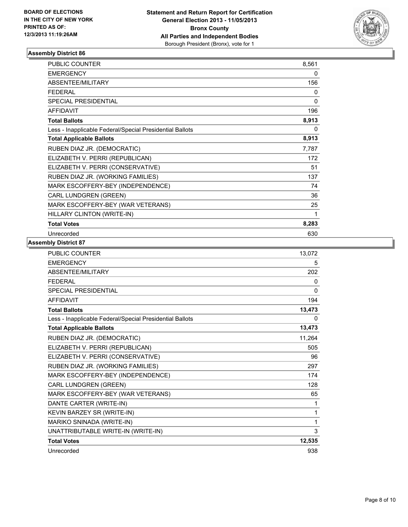

| <b>PUBLIC COUNTER</b>                                    | 8,561 |
|----------------------------------------------------------|-------|
| <b>EMERGENCY</b>                                         | 0     |
| ABSENTEE/MILITARY                                        | 156   |
| <b>FEDERAL</b>                                           | 0     |
| SPECIAL PRESIDENTIAL                                     | 0     |
| <b>AFFIDAVIT</b>                                         | 196   |
| <b>Total Ballots</b>                                     | 8,913 |
| Less - Inapplicable Federal/Special Presidential Ballots | 0     |
| <b>Total Applicable Ballots</b>                          | 8,913 |
| RUBEN DIAZ JR. (DEMOCRATIC)                              | 7,787 |
| ELIZABETH V. PERRI (REPUBLICAN)                          | 172   |
| ELIZABETH V. PERRI (CONSERVATIVE)                        | 51    |
| RUBEN DIAZ JR. (WORKING FAMILIES)                        | 137   |
| MARK ESCOFFERY-BEY (INDEPENDENCE)                        | 74    |
| CARL LUNDGREN (GREEN)                                    | 36    |
| MARK ESCOFFERY-BEY (WAR VETERANS)                        | 25    |
| HILLARY CLINTON (WRITE-IN)                               | 1     |
| <b>Total Votes</b>                                       | 8,283 |
| Unrecorded                                               | 630   |

| PUBLIC COUNTER                                           | 13,072 |
|----------------------------------------------------------|--------|
| <b>EMERGENCY</b>                                         | 5      |
| ABSENTEE/MILITARY                                        | 202    |
| <b>FEDERAL</b>                                           | 0      |
| <b>SPECIAL PRESIDENTIAL</b>                              | 0      |
| <b>AFFIDAVIT</b>                                         | 194    |
| <b>Total Ballots</b>                                     | 13,473 |
| Less - Inapplicable Federal/Special Presidential Ballots | 0      |
| <b>Total Applicable Ballots</b>                          | 13,473 |
| RUBEN DIAZ JR. (DEMOCRATIC)                              | 11,264 |
| ELIZABETH V. PERRI (REPUBLICAN)                          | 505    |
| ELIZABETH V. PERRI (CONSERVATIVE)                        | 96     |
| RUBEN DIAZ JR. (WORKING FAMILIES)                        | 297    |
| MARK ESCOFFERY-BEY (INDEPENDENCE)                        | 174    |
| CARL LUNDGREN (GREEN)                                    | 128    |
| MARK ESCOFFERY-BEY (WAR VETERANS)                        | 65     |
| DANTE CARTER (WRITE-IN)                                  | 1      |
| KEVIN BARZEY SR (WRITE-IN)                               | 1      |
| MARIKO SNINADA (WRITE-IN)                                | 1      |
| UNATTRIBUTABLE WRITE-IN (WRITE-IN)                       | 3      |
| <b>Total Votes</b>                                       | 12,535 |
| Unrecorded                                               | 938    |
|                                                          |        |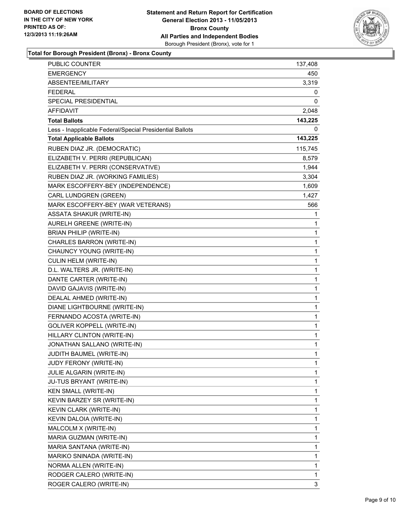

**Total for Borough President (Bronx) - Bronx County**

| PUBLIC COUNTER                                           | 137,408 |
|----------------------------------------------------------|---------|
| <b>EMERGENCY</b>                                         | 450     |
| ABSENTEE/MILITARY                                        | 3,319   |
| <b>FEDERAL</b>                                           | 0       |
| SPECIAL PRESIDENTIAL                                     | 0       |
| <b>AFFIDAVIT</b>                                         | 2,048   |
| <b>Total Ballots</b>                                     | 143,225 |
| Less - Inapplicable Federal/Special Presidential Ballots | 0       |
| <b>Total Applicable Ballots</b>                          | 143,225 |
| RUBEN DIAZ JR. (DEMOCRATIC)                              | 115,745 |
| ELIZABETH V. PERRI (REPUBLICAN)                          | 8,579   |
| ELIZABETH V. PERRI (CONSERVATIVE)                        | 1,944   |
| RUBEN DIAZ JR. (WORKING FAMILIES)                        | 3,304   |
| MARK ESCOFFERY-BEY (INDEPENDENCE)                        | 1,609   |
| CARL LUNDGREN (GREEN)                                    | 1,427   |
| MARK ESCOFFERY-BEY (WAR VETERANS)                        | 566     |
| <b>ASSATA SHAKUR (WRITE-IN)</b>                          | 1       |
| AURELH GREENE (WRITE-IN)                                 | 1       |
| <b>BRIAN PHILIP (WRITE-IN)</b>                           | 1       |
| CHARLES BARRON (WRITE-IN)                                | 1       |
| CHAUNCY YOUNG (WRITE-IN)                                 | 1       |
| CULIN HELM (WRITE-IN)                                    | 1       |
| D.L. WALTERS JR. (WRITE-IN)                              | 1       |
| DANTE CARTER (WRITE-IN)                                  | 1       |
| DAVID GAJAVIS (WRITE-IN)                                 | 1       |
| DEALAL AHMED (WRITE-IN)                                  | 1       |
| DIANE LIGHTBOURNE (WRITE-IN)                             | 1       |
| FERNANDO ACOSTA (WRITE-IN)                               | 1       |
| <b>GOLIVER KOPPELL (WRITE-IN)</b>                        | 1       |
| HILLARY CLINTON (WRITE-IN)                               | 1       |
| JONATHAN SALLANO (WRITE-IN)                              | 1       |
| JUDITH BAUMEL (WRITE-IN)                                 | 1       |
| JUDY FERONY (WRITE-IN)                                   | 1       |
| JULIE ALGARIN (WRITE-IN)                                 | 1       |
| JU-TUS BRYANT (WRITE-IN)                                 | 1       |
| <b>KEN SMALL (WRITE-IN)</b>                              | 1       |
| KEVIN BARZEY SR (WRITE-IN)                               | 1       |
| KEVIN CLARK (WRITE-IN)                                   | 1       |
| KEVIN DALOIA (WRITE-IN)                                  | 1       |
| MALCOLM X (WRITE-IN)                                     | 1       |
| MARIA GUZMAN (WRITE-IN)                                  | 1       |
| MARIA SANTANA (WRITE-IN)                                 | 1       |
| MARIKO SNINADA (WRITE-IN)                                | 1       |
| NORMA ALLEN (WRITE-IN)                                   | 1       |
| RODGER CALERO (WRITE-IN)                                 | 1       |
| ROGER CALERO (WRITE-IN)                                  | 3       |